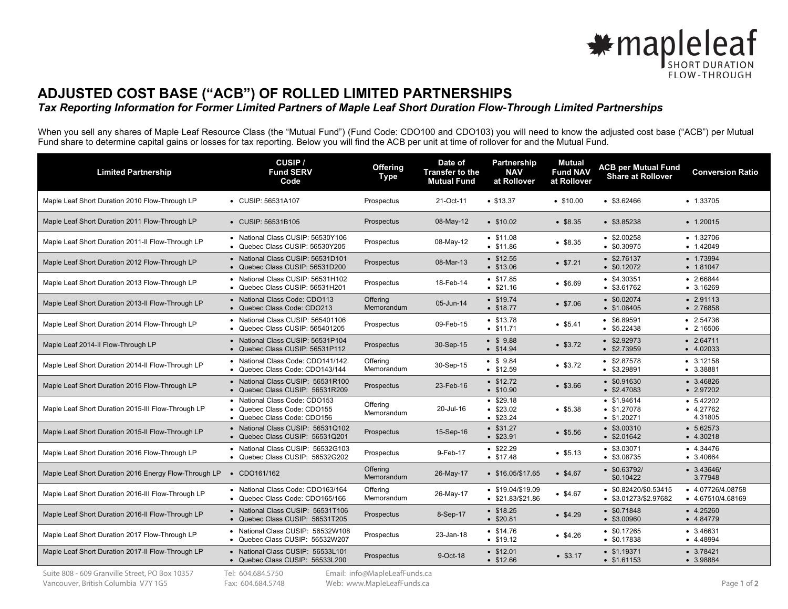

## **ADJUSTED COST BASE ("ACB") OF ROLLED LIMITED PARTNERSHIPS**

## *Tax Reporting Information for Former Limited Partners of Maple Leaf Short Duration Flow-Through Limited Partnerships*

When you sell any shares of Maple Leaf Resource Class (the "Mutual Fund") (Fund Code: CDO100 and CDO103) you will need to know the adjusted cost base ("ACB") per Mutual Fund share to determine capital gains or losses for tax reporting. Below you will find the ACB per unit at time of rollover for and the Mutual Fund.

| <b>Limited Partnership</b>                            | CUSIP/<br><b>Fund SERV</b><br>Code                                                          | <b>Offering</b><br><b>Type</b> | Date of<br><b>Transfer to the</b><br><b>Mutual Fund</b> | Partnership<br><b>NAV</b><br>at Rollover      | <b>Mutual</b><br><b>Fund NAV</b><br>at Rollover | <b>ACB per Mutual Fund</b><br><b>Share at Rollover</b> | <b>Conversion Ratio</b>                |
|-------------------------------------------------------|---------------------------------------------------------------------------------------------|--------------------------------|---------------------------------------------------------|-----------------------------------------------|-------------------------------------------------|--------------------------------------------------------|----------------------------------------|
| Maple Leaf Short Duration 2010 Flow-Through LP        | • CUSIP: 56531A107                                                                          | Prospectus                     | 21-Oct-11                                               | • \$13.37                                     | •\$10.00                                        | \$3.62466                                              | $-1.33705$                             |
| Maple Leaf Short Duration 2011 Flow-Through LP        | • CUSIP: 56531B105                                                                          | Prospectus                     | 08-May-12                                               | $\cdot$ \$10.02                               | • \$8.35                                        | \$3.85238                                              | $\bullet$ 1.20015                      |
| Maple Leaf Short Duration 2011-II Flow-Through LP     | • National Class CUSIP: 56530Y106<br>• Quebec Class CUSIP: 56530Y205                        | Prospectus                     | 08-May-12                                               | • \$11.08<br>• \$11.86                        | • \$8.35                                        | \$2.00258<br>\$0.30975                                 | $\bullet$ 1.32706<br>$-1.42049$        |
| Maple Leaf Short Duration 2012 Flow-Through LP        | • National Class CUSIP: 56531D101<br>• Quebec Class CUSIP: 56531D200                        | Prospectus                     | 08-Mar-13                                               | • \$12.55<br>• \$13.06                        | • 57.21                                         | \$2.76137<br>\$0.12072                                 | $-1.73994$<br>$-1.81047$               |
| Maple Leaf Short Duration 2013 Flow-Through LP        | • National Class CUSIP: 56531H102<br>• Quebec Class CUSIP: 56531H201                        | Prospectus                     | 18-Feb-14                                               | • \$17.85<br>• \$21.16                        | • 56.69                                         | $•$ \$4.30351<br>$•$ \$3.61762                         | $-2.66844$<br>$\bullet$ 3.16269        |
| Maple Leaf Short Duration 2013-II Flow-Through LP     | • National Class Code: CDO113<br>• Quebec Class Code: CDO213                                | Offering<br>Memorandum         | 05-Jun-14                                               | • \$19.74<br>• \$18.77                        | •\$7.06                                         | \$0.02074<br>\$1.06405                                 | $-2.91113$<br>$-2.76858$               |
| Maple Leaf Short Duration 2014 Flow-Through LP        | • National Class CUSIP: 565401106<br>• Quebec Class CUSIP: 565401205                        | Prospectus                     | 09-Feb-15                                               | • \$13.78<br>• \$11.71                        | • \$5.41                                        | $\bullet$ \$6.89591<br>\$5.22438                       | $\bullet$ 2.54736<br>$\bullet$ 2.16506 |
| Maple Leaf 2014-II Flow-Through LP                    | • National Class CUSIP: 56531P104<br>• Quebec Class CUSIP: 56531P112                        | Prospectus                     | 30-Sep-15                                               | • \$9.88<br>$\bullet$ \$14.94                 | • \$3.72                                        | $\bullet$ \$2.92973<br>\$2.73959                       | $-2.64711$<br>$-4.02033$               |
| Maple Leaf Short Duration 2014-II Flow-Through LP     | • National Class Code: CDO141/142<br>• Quebec Class Code: CDO143/144                        | Offering<br>Memorandum         | 30-Sep-15                                               | $• $ \$ 9.84<br>• \$12.59                     | • \$3.72                                        | \$2.87578<br>$•$ \$3.29891                             | $-3.12158$<br>$-3.38881$               |
| Maple Leaf Short Duration 2015 Flow-Through LP        | • National Class CUSIP: 56531R100<br>• Quebec Class CUSIP: 56531R209                        | Prospectus                     | 23-Feb-16                                               | • \$12.72<br>• \$10.90                        | • \$3.66                                        | $\bullet$ \$0.91630<br>\$2.47083                       | $-3.46826$<br>$\bullet$ 2.97202        |
| Maple Leaf Short Duration 2015-III Flow-Through LP    | • National Class Code: CDO153<br>• Quebec Class Code: CDO155<br>• Quebec Class Code: CDO156 | Offering<br>Memorandum         | 20-Jul-16                                               | • \$29.18<br>• \$23.02<br>• \$23.24           | • \$5.38                                        | \$1.94614<br>\$1.27078<br>• \$1.20271                  | $-5.42202$<br>$-4.27762$<br>4.31805    |
| Maple Leaf Short Duration 2015-II Flow-Through LP     | • National Class CUSIP: 56531Q102<br>• Quebec Class CUSIP: 56531Q201                        | Prospectus                     | 15-Sep-16                                               | $•$ \$31.27<br>• \$23.91                      | • \$5.56                                        | $•$ \$3.00310<br>\$2.01642                             | $-5.62573$<br>$-4.30218$               |
| Maple Leaf Short Duration 2016 Flow-Through LP        | • National Class CUSIP: 56532G103<br>• Quebec Class CUSIP: 56532G202                        | Prospectus                     | 9-Feb-17                                                | \$22.29<br>• \$17.48                          | • \$5.13                                        | $•$ \$3.03071<br>\$3.08735                             | $-4.34476$<br>$-3.40664$               |
| Maple Leaf Short Duration 2016 Energy Flow-Through LP | • CDO161/162                                                                                | Offering<br>Memorandum         | 26-May-17                                               | $$16.05/\$17.65$                              | • \$4.67                                        | \$0.63792/<br>\$0.10422                                | $-3.43646/$<br>3.77948                 |
| Maple Leaf Short Duration 2016-III Flow-Through LP    | • National Class Code: CDO163/164<br>Quebec Class Code: CDO165/166                          | Offering<br>Memorandum         | 26-May-17                                               | $\bullet$ \$19.04/\$19.09<br>$$21.83/\$21.86$ | • \$4.67                                        | $$0.82420/\$0.53415$<br>\$3.01273/\$2.97682            | • 4.07726/4.08758<br>• 4.67510/4.68169 |
| Maple Leaf Short Duration 2016-II Flow-Through LP     | • National Class CUSIP: 56531T106<br>• Quebec Class CUSIP: 56531T205                        | Prospectus                     | 8-Sep-17                                                | $•$ \$18.25<br>•\$20.81                       | \$4.29                                          | \$0.71848<br>$•$ \$3.00960                             | $-4.25260$<br>$-4.84779$               |
| Maple Leaf Short Duration 2017 Flow-Through LP        | • National Class CUSIP: 56532W108<br>• Quebec Class CUSIP: 56532W207                        | Prospectus                     | 23-Jan-18                                               | • \$14.76<br>• \$19.12                        | • 4.26                                          | \$0.17265<br>\$0.17838                                 | $-3.46631$<br>$-4.48994$               |
| Maple Leaf Short Duration 2017-II Flow-Through LP     | • National Class CUSIP: 56533L101<br>• Quebec Class CUSIP: 56533L200                        | Prospectus                     | 9-Oct-18                                                | • \$12.01<br>•\$12.66                         | • \$3.17                                        | • \$1.19371<br>• \$1.61153                             | $-3.78421$<br>• 3.98884                |
| Suite 808 - 609 Granville Street, PO Box 10357        | Tel: 604.684.5750                                                                           | Email: info@MapleLeafFunds.ca  |                                                         |                                               |                                                 |                                                        |                                        |

Vancouver, British Columbia V7Y 1G5

Fax: 604.684.5748

Web: www.MapleLeafFunds.ca **Page 1 of 2** and 2 and 2 and 2 and 2 and 2 and 2 and 2 and 2 and 2 and 2 and 2 and 2 and 2 and 2 and 2 and 2 and 2 and 2 and 2 and 2 and 2 and 2 and 2 and 2 and 2 and 2 and 2 and 2 and 2 and 2 a